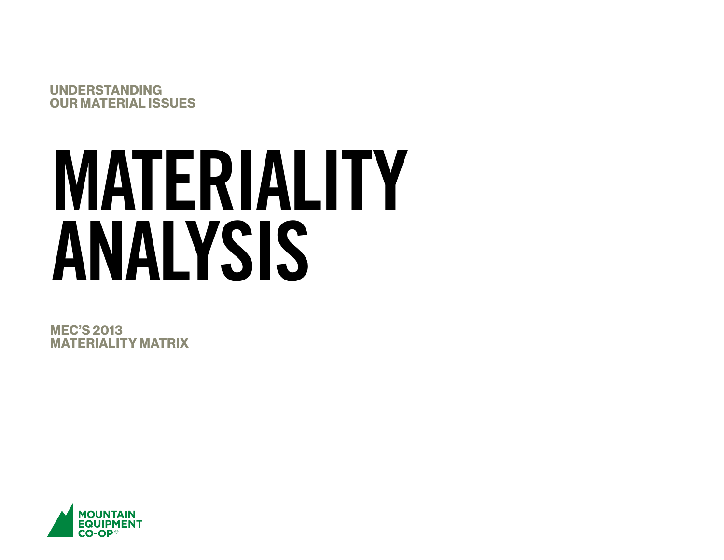UNDERSTANDING OUR MATERIAL ISSUES

# MATERIALITY ANALYSIS

MEC'S 2013 MATERIALITY MATRIX

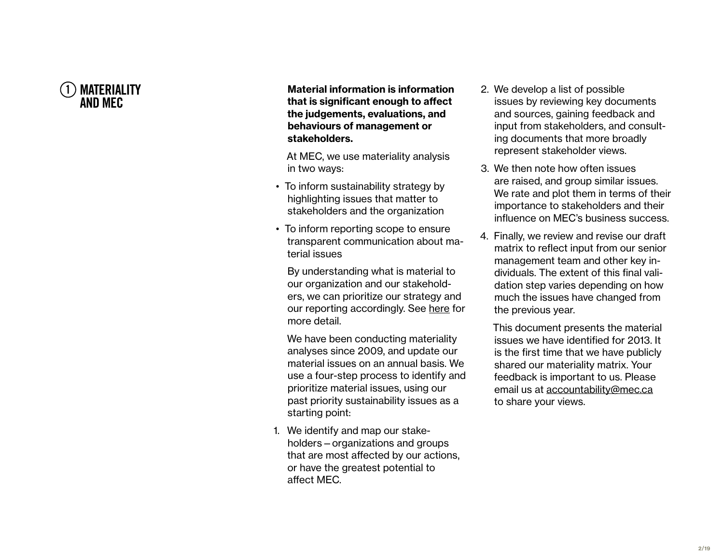

Material information is information that is significant enough to affect the judgements, evaluations, and behaviours of management or stakeholders.

At MEC, we use materiality analysis in two ways:

- To inform sustainability strategy by highlighting issues that matter to stakeholders and the organization
- To inform reporting scope to ensure transparent communication about ma terial issues

By understanding what is material to our organization and our stakehold ers, we can prioritize our strategy and our reporting accordingly. See [here](http://www.mec.ca/AST/ContentPrimary/Sustainability/AccountabilityReport/Approach.jsp?CONTENT%3C%3Ecnt_id=10134198674183530) for more detail.

We have been conducting materiality analyses since 2009, and update our material issues on an annual basis. We use a four-step process to identify and prioritize material issues, using our past priority sustainability issues as a starting point:

1. We identify and map our stakeholders—organizations and groups that are most affected by our actions, or have the greatest potential to affect MEC.

- 2. We develop a list of possible issues by reviewing key documents and sources, gaining feedback and input from stakeholders, and consult ing documents that more broadly represent stakeholder views.
- 3. We then note how often issues are raised, and group similar issues. We rate and plot them in terms of their importance to stakeholders and their influence on MEC's business success.
- 4. Finally, we review and revise our draft matrix to reflect input from our senior management team and other key in dividuals. The extent of this final vali dation step varies depending on how much the issues have changed from the previous year.

This document presents the material issues we have identified for 2013. It is the first time that we have publicly shared our materiality matrix. Your feedback is important to us. Please email us at [accountability@mec.ca](mailto:accountability%40mec.ca?subject=) to share your views.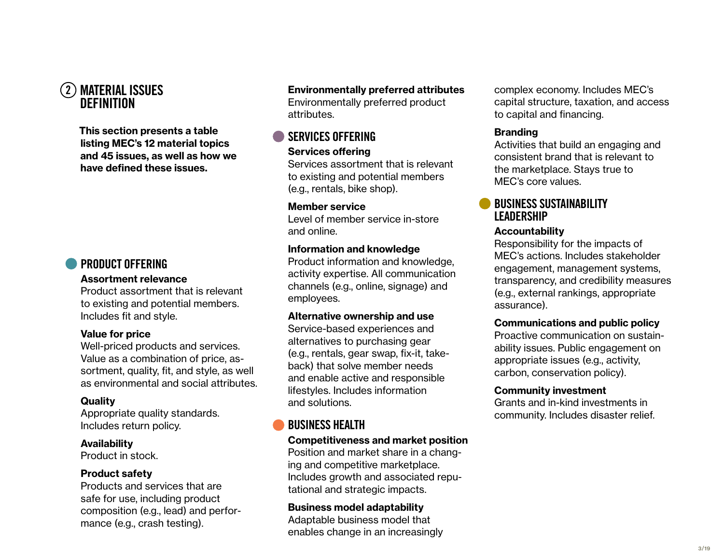# 2 Material Issues **DEFINITION**

This section presents a table listing MEC's 12 material topics and 45 issues, as well as how we have defined these issues.

# [PRODUCT OFFERING](#page-7-0)

### [Assortment relevance](#page-7-0)

Product assortment that is relevant to existing and potential members. Includes fit and style.

### [Value for price](#page-7-0)

Well-priced products and services. Value as a combination of price, assortment, quality, fit, and style, as well as environmental and social attributes.

### **[Quality](#page-7-0)**

Appropriate quality standards. Includes return policy.

### [Availability](#page-7-0)

Product in stock.

### [Product safety](#page-7-0)

Products and services that are safe for use, including product composition (e.g., lead) and performance (e.g., crash testing).

### [Environmentally preferred attributes](#page-7-0)

Environmentally preferred product attributes.

# [SERVICES OFFERING](#page-8-0)

### [Services offering](#page-8-0)

Services assortment that is relevant to existing and potential members (e.g., rentals, bike shop).

### [Member service](#page-8-0)

Level of member service in-store and online.

### [Information and knowledge](#page-8-0)

Product information and knowledge, activity expertise. All communication channels (e.g., online, signage) and employees.

### [Alternative ownership and use](#page-8-0)

Service-based experiences and alternatives to purchasing gear (e.g., rentals, gear swap, fix-it, takeback) that solve member needs and enable active and responsible lifestyles. Includes information and solutions.

# [BUSINESS HEALTH](#page-9-0)

### [Competitiveness and market position](#page-9-0)

Position and market share in a changing and competitive marketplace. Includes growth and associated reputational and strategic impacts.

[Business model adaptability](#page-9-0) Adaptable business model that enables change in an increasingly complex economy. Includes MEC's capital structure, taxation, and access to capital and financing.

### [Branding](#page-9-0)

Activities that build an engaging and consistent brand that is relevant to the marketplace. Stays true to MEC's core values.

### [BUSINESS SUSTAINABILITY](#page-10-0)  **[LEADERSHIP](#page-10-0)**

### **[Accountability](#page-10-0)**

Responsibility for the impacts of MEC's actions. Includes stakeholder engagement, management systems, transparency, and credibility measures (e.g., external rankings, appropriate assurance).

### [Communications and public policy](#page-10-0)

Proactive communication on sustainability issues. Public engagement on appropriate issues (e.g., activity, carbon, conservation policy).

### [Community investment](#page-10-0)

Grants and in-kind investments in community. Includes disaster relief.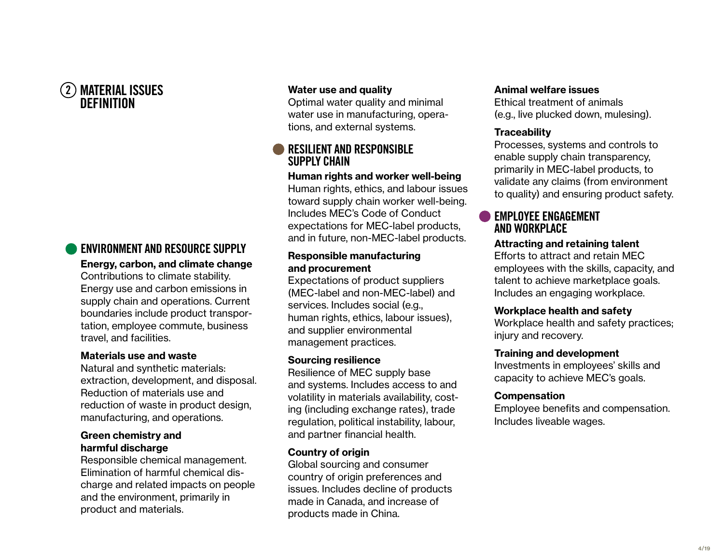# 2 Material Issues **DEFINITION**

### [ENVIRONMENT AND RESOURCE SUPPLY](#page-11-0) [Energy, carbon, and climate change](#page-11-0)

Contributions to climate stability. Energy use and carbon emissions in supply chain and operations. Current boundaries include product transportation, employee commute, business travel, and facilities.

### [Materials use and waste](#page-11-0)

Natural and synthetic materials: extraction, development, and disposal. Reduction of materials use and reduction of waste in product design, manufacturing, and operations.

### [Green chemistry and](#page-11-0)  [harmful discharge](#page-11-0)

Responsible chemical management. Elimination of harmful chemical discharge and related impacts on people and the environment, primarily in product and materials.

### [Water use and quality](#page-11-0)

Optimal water quality and minimal water use in manufacturing, operations, and external systems.

### **RESILIENT AND RESPONSIBLE** [SUPPLY CHAIN](#page-12-0)

### [Human rights and worker well-being](#page-12-0)

Human rights, ethics, and labour issues toward supply chain worker well-being. Includes MEC's Code of Conduct expectations for MEC-label products, and in future, non-MEC-label products.

### [Responsible manufacturing](#page-12-0)  [and procurement](#page-12-0)

Expectations of product suppliers (MEC-label and non-MEC-label) and services. Includes social (e.g., human rights, ethics, labour issues), and supplier environmental management practices.

### [Sourcing resilience](#page-12-0)

Resilience of MEC supply base and systems. Includes access to and volatility in materials availability, costing (including exchange rates), trade regulation, political instability, labour, and partner financial health.

### [Country of origin](#page-12-0)

Global sourcing and consumer country of origin preferences and issues. Includes decline of products made in Canada, and increase of products made in China.

### [Animal welfare issues](#page-12-0)

Ethical treatment of animals (e.g., live plucked down, mulesing).

### **[Traceability](#page-12-0)**

Processes, systems and controls to enable supply chain transparency, primarily in MEC-label products, to validate any claims (from environment to quality) and ensuring product safety.

### [EMPLOYEE ENGAGEMENT](#page-13-0)  [AND WORKPLACE](#page-13-0)

### [Attracting and retaining talent](#page-13-0)

Efforts to attract and retain MEC employees with the skills, capacity, and talent to achieve marketplace goals. Includes an engaging workplace.

### [Workplace health and safety](#page-13-0)

Workplace health and safety practices; injury and recovery.

### [Training and development](#page-13-0)

Investments in employees' skills and capacity to achieve MEC's goals.

### **[Compensation](#page-13-0)**

Employee benefits and compensation. Includes liveable wages.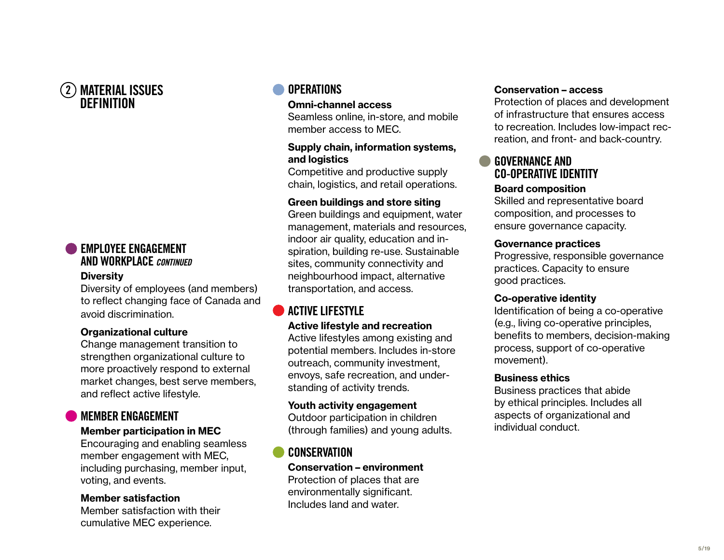# 2 Material Issues Definition

# [EMPLOYEE ENGAGEMENT](#page-13-0)  [AND WORKPLACE](#page-13-0) *CONTINUED*

### **[Diversity](#page-13-0)**

Diversity of employees (and members) to reflect changing face of Canada and avoid discrimination.

### [Organizational culture](#page-13-0)

Change management transition to strengthen organizational culture to more proactively respond to external market changes, best serve members, and reflect active lifestyle.

# [MEMBER ENGAGEMENT](#page-14-0)

### [Member participation in MEC](#page-14-0)

Encouraging and enabling seamless member engagement with MEC, including purchasing, member input, voting, and events.

### [Member satisfaction](#page-14-0)

Member satisfaction with their cumulative MEC experience.

# **[OPERATIONS](#page-15-0)**

### [Omni-channel access](#page-15-0)

Seamless online, in-store, and mobile member access to MEC.

### [Supply chain, information systems,](#page-15-0)  [and logistics](#page-15-0)

Competitive and productive supply chain, logistics, and retail operations.

### [Green buildings and store siting](#page-15-0)

Green buildings and equipment, water management, materials and resources, indoor air quality, education and inspiration, building re-use. Sustainable sites, community connectivity and neighbourhood impact, alternative transportation, and access.

# [ACTIVE LIFESTYLE](#page-16-0)

### [Active lifestyle and recreation](#page-16-0)

Active lifestyles among existing and potential members. Includes in-store outreach, community investment, envoys, safe recreation, and understanding of activity trends.

### [Youth activity engagement](#page-16-0)

Outdoor participation in children (through families) and young adults.

# **[CONSERVATION](#page-17-0)**

[Conservation – environment](#page-17-0) Protection of places that are environmentally significant. Includes land and water.

### [Conservation – access](#page-17-0)

Protection of places and development of infrastructure that ensures access to recreation. Includes low-impact recreation, and front- and back-country.

# [GOVERNANCE AND](#page-18-0) [CO-OPERATIVE IDENTITY](#page-18-0)

### [Board composition](#page-18-0)

Skilled and representative board composition, and processes to ensure governance capacity.

### [Governance practices](#page-18-0)

Progressive, responsible governance practices. Capacity to ensure good practices.

### [Co-operative identity](#page-18-0)

Identification of being a co-operative (e.g., living co-operative principles, benefits to members, decision-making process, support of co-operative movement).

### [Business ethics](#page-18-0)

Business practices that abide by ethical principles. Includes all aspects of organizational and individual conduct.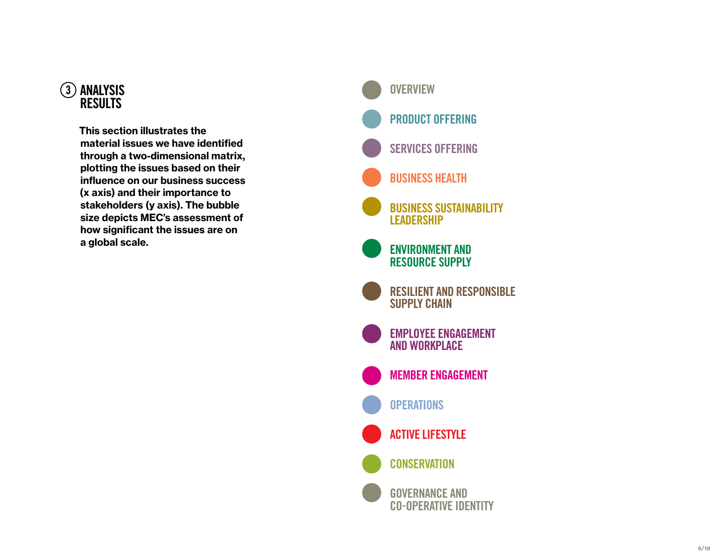

This section illustrates the material issues we have identified through a two-dimensional matrix, plotting the issues based on their influence on our business success (x axis) and their importance to stakeholders (y axis). The bubble size depicts MEC's assessment of how significant the issues are on a global scale.

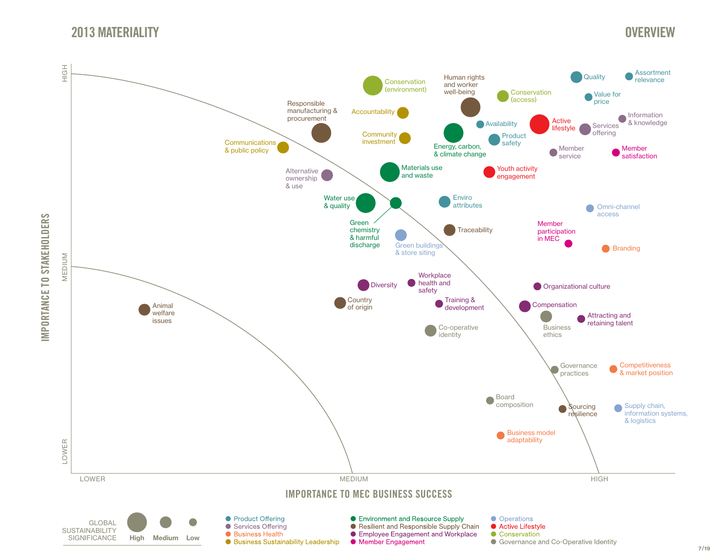# 2013 MATERIALITY

# **OVERVIEW**

<span id="page-6-0"></span>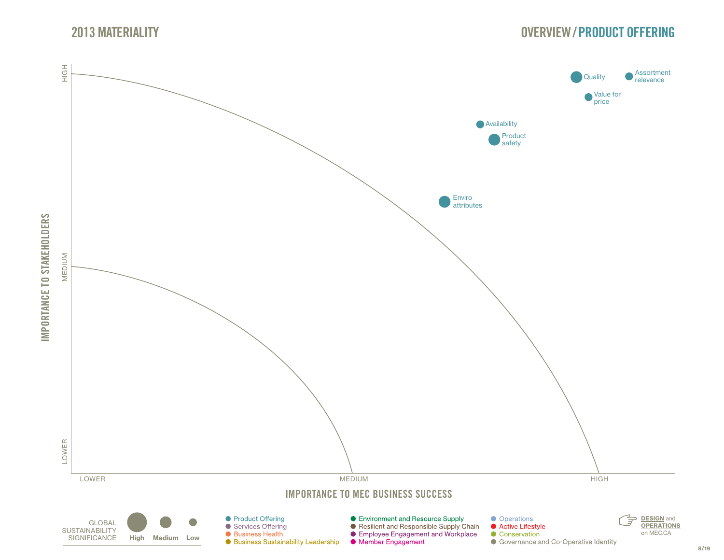

# [OVERVIEW](#page-6-0)/PRODUCT OFFERING

<span id="page-7-0"></span>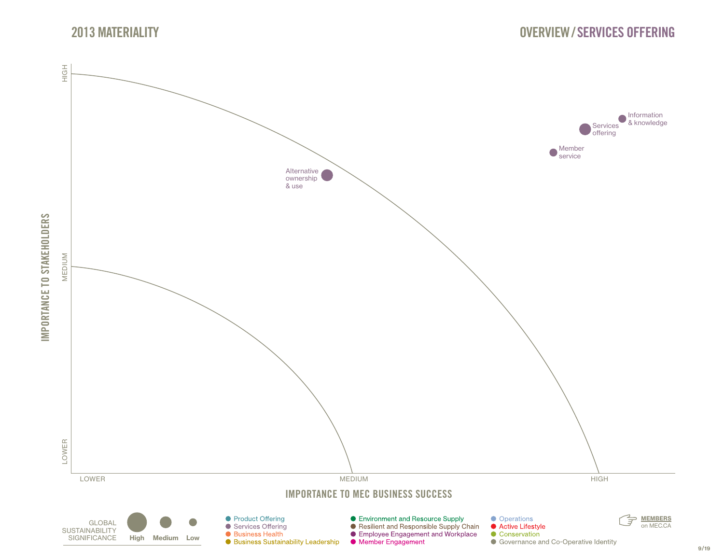

<span id="page-8-0"></span>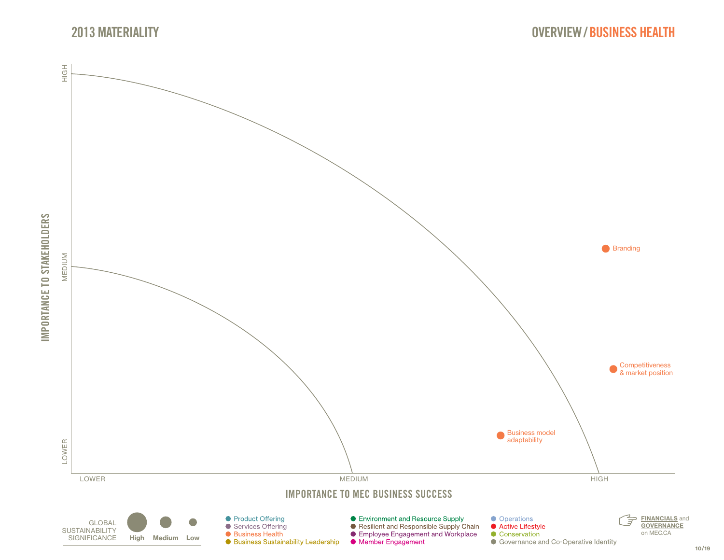![](_page_9_Picture_0.jpeg)

![](_page_9_Figure_1.jpeg)

<span id="page-9-0"></span>![](_page_9_Figure_2.jpeg)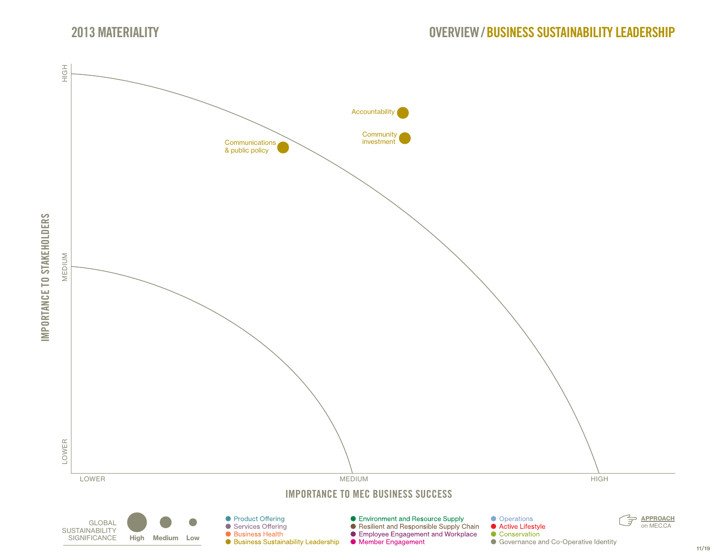<span id="page-10-0"></span>![](_page_10_Figure_2.jpeg)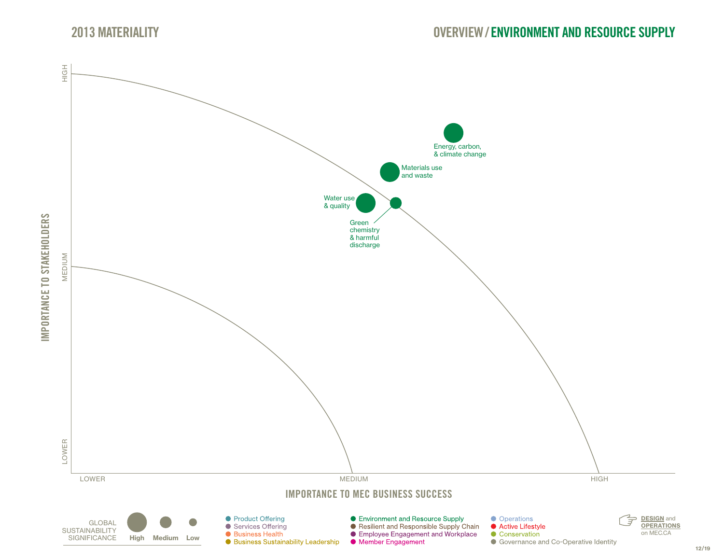![](_page_11_Picture_0.jpeg)

<span id="page-11-0"></span>![](_page_11_Figure_2.jpeg)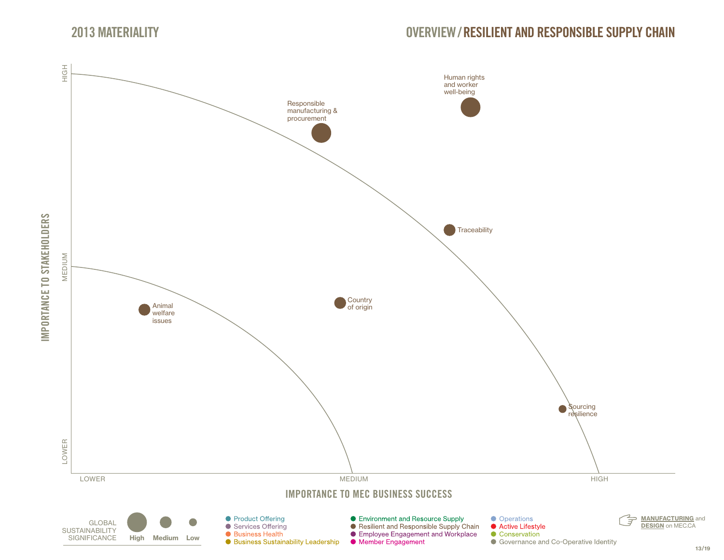<span id="page-12-0"></span>![](_page_12_Figure_2.jpeg)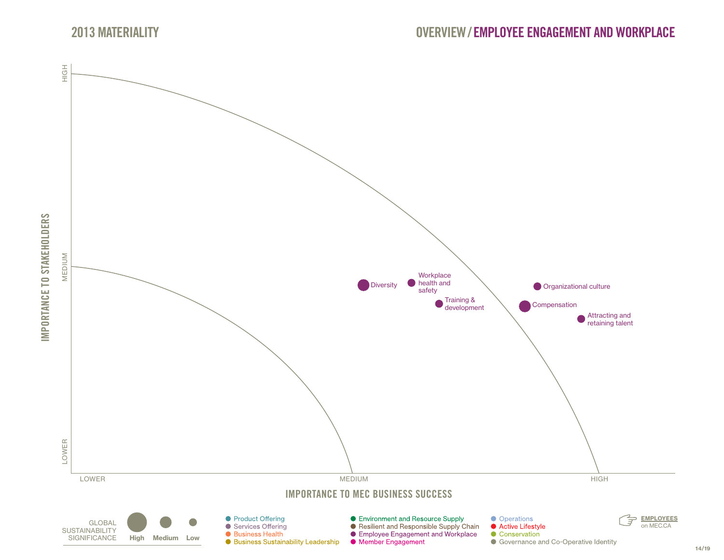![](_page_13_Picture_0.jpeg)

<span id="page-13-0"></span>![](_page_13_Figure_2.jpeg)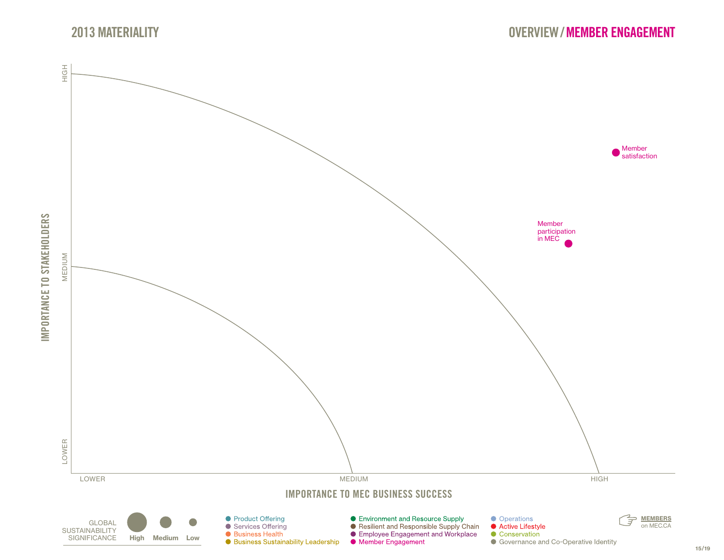![](_page_14_Picture_0.jpeg)

<span id="page-14-0"></span>![](_page_14_Figure_2.jpeg)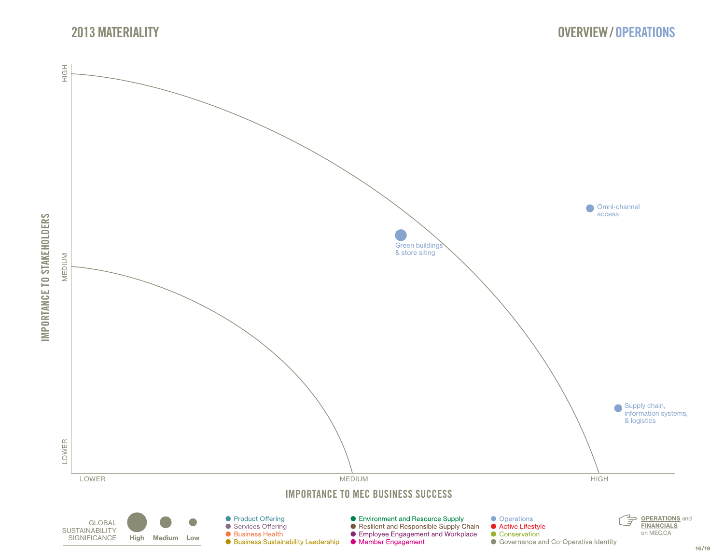![](_page_15_Picture_0.jpeg)

![](_page_15_Figure_1.jpeg)

<span id="page-15-0"></span>![](_page_15_Figure_2.jpeg)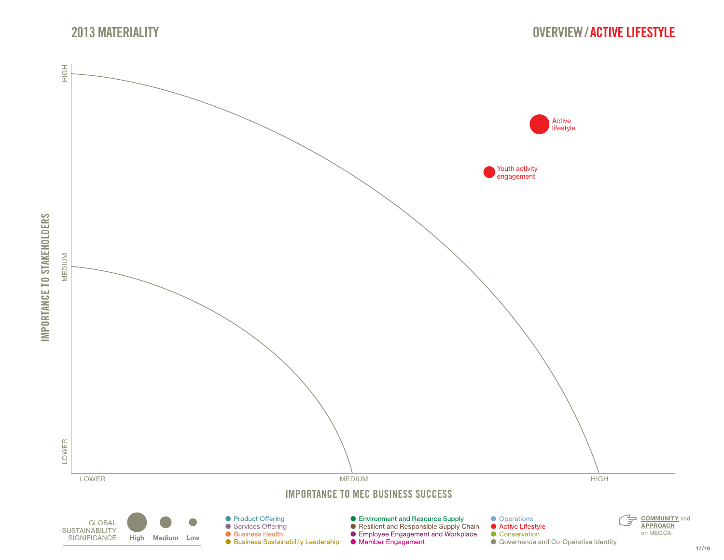![](_page_16_Picture_0.jpeg)

<span id="page-16-0"></span>![](_page_16_Figure_2.jpeg)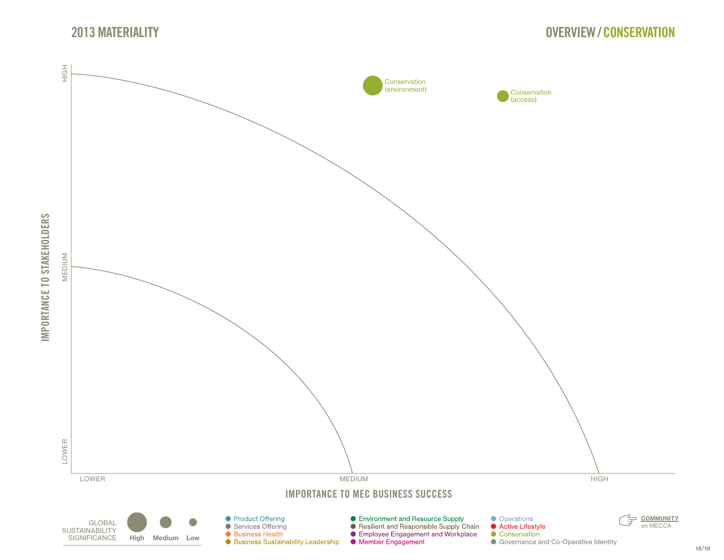<span id="page-17-0"></span>![](_page_17_Figure_2.jpeg)